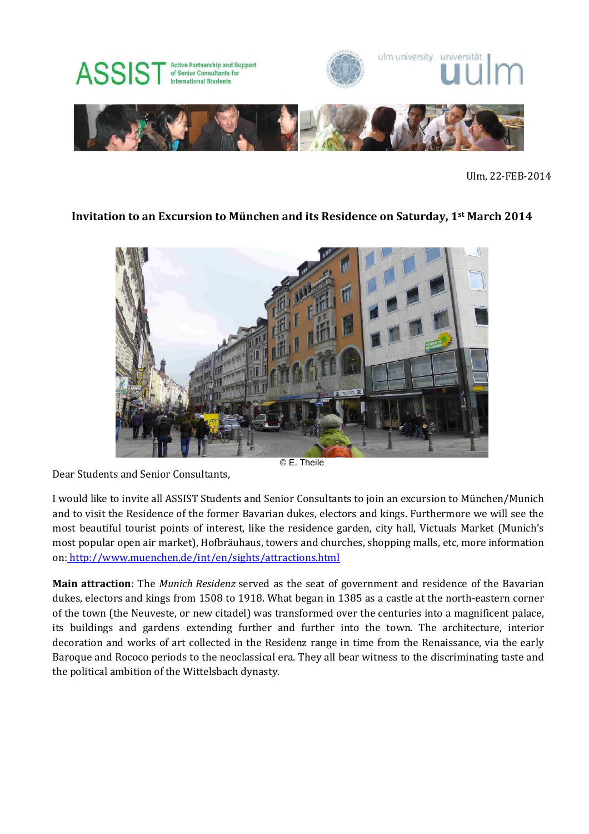

Ulm, 22-FEB-2014

## **Invitation to an Excursion to München and its Residence on Saturday, 1st March 2014**



© E. Theile

Dear Students and Senior Consultants,

I would like to invite all ASSIST Students and Senior Consultants to join an excursion to München/Munich and to visit the Residence of the former Bavarian dukes, electors and kings. Furthermore we will see the most beautiful tourist points of interest, like the residence garden, city hall, Victuals Market (Munich's most popular open air market), Hofbräuhaus, towers and churches, shopping malls, etc, more information on: http://www.muenchen.de/int/en/sights/attractions.html

**Main attraction**: The *Munich Residenz* served as the seat of government and residence of the Bavarian dukes, electors and kings from 1508 to 1918. What began in 1385 as a castle at the north-eastern corner of the town (the Neuveste, or new citadel) was transformed over the centuries into a magnificent palace, its buildings and gardens extending further and further into the town. The architecture, interior decoration and works of art collected in the Residenz range in time from the Renaissance, via the early Baroque and Rococo periods to the neoclassical era. They all bear witness to the discriminating taste and the political ambition of the Wittelsbach dynasty.